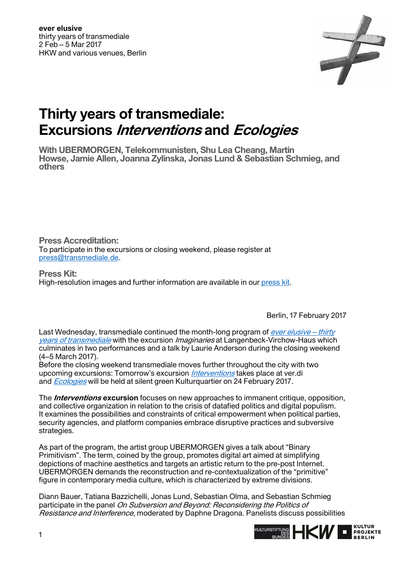

## **Thirty years of transmediale: Excursions Interventions and Ecologies**

**With UBERMORGEN, Telekommunisten, Shu Lea Cheang, Martin Howse, Jamie Allen, Joanna Zylinska, Jonas Lund & Sebastian Schmieg, and others** 

**Press Accreditation:**  To participate in the excursions or closing weekend, please register at [press@transmediale.de.](mailto:press@transmediale.de)

**Press Kit:**  High-resolution images and further information are available in our [press kit.](https://2017.transmediale.de/festival/2017/press)

Berlin, 17 February 2017

Last Wednesday, transmediale continued the month-long program of ever elusive - thirty [years of transmediale](https://2017.transmediale.de/festival) with the excursion Imaginaries at Langenbeck-Virchow-Haus which culminates in two performances and a talk by Laurie Anderson during the closing weekend (4–5 March 2017).

Before the closing weekend transmediale moves further throughout the city with two upcoming excursions: Tomorrow's excursion *[Interventions](https://2017.transmediale.de/festival/2017/program/excursion-2)* takes place at ver.di and *[Ecologies](https://2017.transmediale.de/festival/2017/program/excursion-3)* will be held at silent green Kulturquartier on 24 February 2017.

The **Interventions excursion** focuses on new approaches to immanent critique, opposition, and collective organization in relation to the crisis of datafied politics and digital populism. It examines the possibilities and constraints of critical empowerment when political parties, security agencies, and platform companies embrace disruptive practices and subversive strategies.

As part of the program, the artist group UBERMORGEN gives a talk about "Binary Primitivism". The term, coined by the group, promotes digital art aimed at simplifying depictions of machine aesthetics and targets an artistic return to the pre-post Internet. UBERMORGEN demands the reconstruction and re-contextualization of the "primitive" figure in contemporary media culture, which is characterized by extreme divisions.

Diann Bauer, Tatiana Bazzichelli, Jonas Lund, Sebastian Olma, and Sebastian Schmieg participate in the panel On Subversion and Beyond: Reconsidering the Politics of Resistance and Interference, moderated by Daphne Dragona. Panelists discuss possibilities

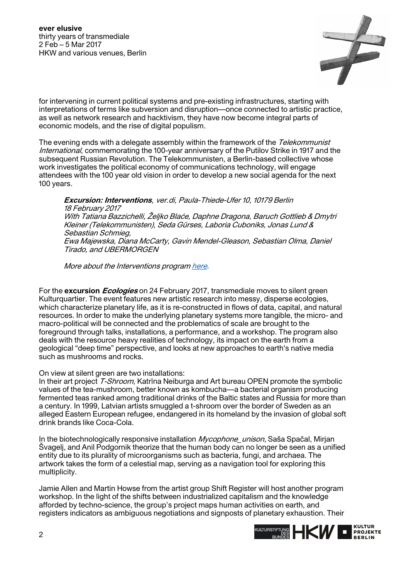

for intervening in current political systems and pre-existing infrastructures, starting with interpretations of terms like subversion and disruption—once connected to artistic practice, as well as network research and hacktivism, they have now become integral parts of economic models, and the rise of digital populism.

The evening ends with a delegate assembly within the framework of the Telekommunist International, commemorating the 100-year anniversary of the Putilov Strike in 1917 and the subsequent Russian Revolution. The Telekommunisten, a Berlin-based collective whose work investigates the political economy of communications technology, will engage attendees with the 100 year old vision in order to develop a new social agenda for the next 100 years.

**Excursion: Interventions**, ver.di, Paula-Thiede-Ufer 10, 10179 Berlin 18 February 2017 With Tatiana Bazzichelli, Željko Blaće, Daphne Dragona, Baruch Gottlieb & Dmytri Kleiner (Telekommunisten), Seda Gürses, Laboria Cuboniks, Jonas Lund & Sebastian Schmieg, Ewa Majewska, Diana McCarty, Gavin Mendel-Gleason, Sebastian Olma, Daniel Tirado, and UBERMORGEN

More about the Interventions program [here.](https://2017.transmediale.de/festival/2017/program/excursion-2)

For the **excursion Ecologies** on 24 February 2017, transmediale moves to silent green Kulturquartier. The event features new artistic research into messy, disperse ecologies, which characterize planetary life, as it is re-constructed in flows of data, capital, and natural resources. In order to make the underlying planetary systems more tangible, the micro- and macro-political will be connected and the problematics of scale are brought to the foreground through talks, installations, a performance, and a workshop. The program also deals with the resource heavy realities of technology, its impact on the earth from a geological "deep time" perspective, and looks at new approaches to earth's native media such as mushrooms and rocks.

## On view at silent green are two installations:

In their art project T-Shroom, Katrina Neiburga and Art bureau OPEN promote the symbolic values of the tea-mushroom, better known as kombucha—a bacterial organism producing fermented teas ranked among traditional drinks of the Baltic states and Russia for more than a century. In 1999, Latvian artists smuggled a t-shroom over the border of Sweden as an alleged Eastern European refugee, endangered in its homeland by the invasion of global soft drink brands like Coca-Cola.

In the biotechnologically responsive installation *Mycophone unison*, Saša Spačal, Mirjan Švagelj, and Anil Podgornik theorize that the human body can no longer be seen as a unified entity due to its plurality of microorganisms such as bacteria, fungi, and archaea. The artwork takes the form of a celestial map, serving as a navigation tool for exploring this multiplicity.

Jamie Allen and Martin Howse from the artist group Shift Register will host another program workshop. In the light of the shifts between industrialized capitalism and the knowledge afforded by techno-science, the group's project maps human activities on earth, and registers indicators as ambiguous negotiations and signposts of planetary exhaustion. Their